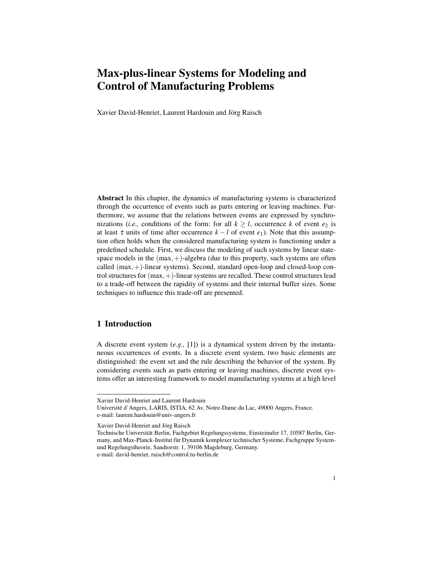## Max-plus-linear Systems for Modeling and Control of Manufacturing Problems

Xavier David-Henriet, Laurent Hardouin and Jörg Raisch

Abstract In this chapter, the dynamics of manufacturing systems is characterized through the occurrence of events such as parts entering or leaving machines. Furthermore, we assume that the relations between events are expressed by synchronizations (*i.e.*, conditions of the form: for all  $k > l$ , occurrence k of event  $e_2$  is at least  $\tau$  units of time after occurrence  $k - l$  of event  $e_1$ ). Note that this assumption often holds when the considered manufacturing system is functioning under a predefined schedule. First, we discuss the modeling of such systems by linear statespace models in the  $(max, +)$ -algebra (due to this property, such systems are often called  $(max,+)$ -linear systems). Second, standard open-loop and closed-loop control structures for  $(max,+)$ -linear systems are recalled. These control structures lead to a trade-off between the rapidity of systems and their internal buffer sizes. Some techniques to influence this trade-off are presented.

## 1 Introduction

A discrete event system (*e.g.,* [1]) is a dynamical system driven by the instantaneous occurrences of events. In a discrete event system, two basic elements are distinguished: the event set and the rule describing the behavior of the system. By considering events such as parts entering or leaving machines, discrete event systems offer an interesting framework to model manufacturing systems at a high level

Xavier David-Henriet and Laurent Hardouin

Universite d'Angers, LARIS, ISTIA, 62 Av. Notre-Dame du Lac, 49000 Angers, France. ´ e-mail: laurent.hardouin@univ-angers.fr

Xavier David-Henriet and Jörg Raisch

Technische Universität Berlin, Fachgebiet Regelungssysteme, Einsteinufer 17, 10587 Berlin, Germany, and Max-Planck-Institut für Dynamik komplexer technischer Systeme, Fachgruppe Systemund Regelungstheorie, Sandtorstr. 1, 39106 Magdeburg, Germany. e-mail: david-henriet, raisch@control.tu-berlin.de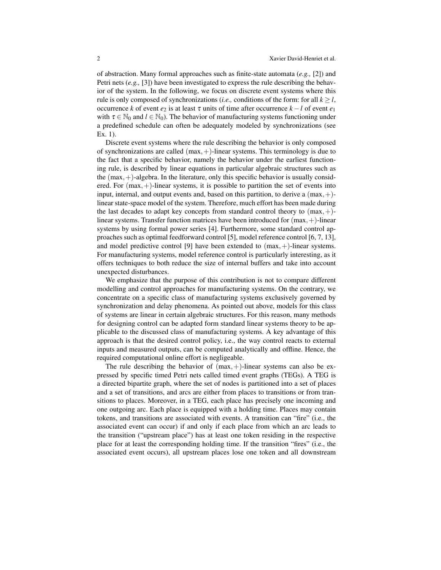of abstraction. Many formal approaches such as finite-state automata (*e.g.,* [2]) and Petri nets (*e.g.,* [3]) have been investigated to express the rule describing the behavior of the system. In the following, we focus on discrete event systems where this rule is only composed of synchronizations (*i.e.*, conditions of the form: for all  $k > l$ , occurrence *k* of event  $e_2$  is at least  $\tau$  units of time after occurrence  $k - l$  of event  $e_1$ with  $\tau \in \mathbb{N}_0$  and  $l \in \mathbb{N}_0$ ). The behavior of manufacturing systems functioning under a predefined schedule can often be adequately modeled by synchronizations (see Ex. 1).

Discrete event systems where the rule describing the behavior is only composed of synchronizations are called  $(max,+)$ -linear systems. This terminology is due to the fact that a specific behavior, namely the behavior under the earliest functioning rule, is described by linear equations in particular algebraic structures such as the  $(max, +)$ -algebra. In the literature, only this specific behavior is usually considered. For  $(max,+)$ -linear systems, it is possible to partition the set of events into input, internal, and output events and, based on this partition, to derive a  $(max,+)$ linear state-space model of the system. Therefore, much effort has been made during the last decades to adapt key concepts from standard control theory to  $(max,+)$ linear systems. Transfer function matrices have been introduced for  $(max,+)$ -linear systems by using formal power series [4]. Furthermore, some standard control approaches such as optimal feedforward control [5], model reference control [6, 7, 13], and model predictive control [9] have been extended to  $(max,+)$ -linear systems. For manufacturing systems, model reference control is particularly interesting, as it offers techniques to both reduce the size of internal buffers and take into account unexpected disturbances.

We emphasize that the purpose of this contribution is not to compare different modelling and control approaches for manufacturing systems. On the contrary, we concentrate on a specific class of manufacturing systems exclusively governed by synchronization and delay phenomena. As pointed out above, models for this class of systems are linear in certain algebraic structures. For this reason, many methods for designing control can be adapted form standard linear systems theory to be applicable to the discussed class of manufacturing systems. A key advantage of this approach is that the desired control policy, i.e., the way control reacts to external inputs and measured outputs, can be computed analytically and offline. Hence, the required computational online effort is negligeable.

The rule describing the behavior of  $(max,+)$ -linear systems can also be expressed by specific timed Petri nets called timed event graphs (TEGs). A TEG is a directed bipartite graph, where the set of nodes is partitioned into a set of places and a set of transitions, and arcs are either from places to transitions or from transitions to places. Moreover, in a TEG, each place has precisely one incoming and one outgoing arc. Each place is equipped with a holding time. Places may contain tokens, and transitions are associated with events. A transition can "fire" (i.e., the associated event can occur) if and only if each place from which an arc leads to the transition ("upstream place") has at least one token residing in the respective place for at least the corresponding holding time. If the transition "fires" (i.e., the associated event occurs), all upstream places lose one token and all downstream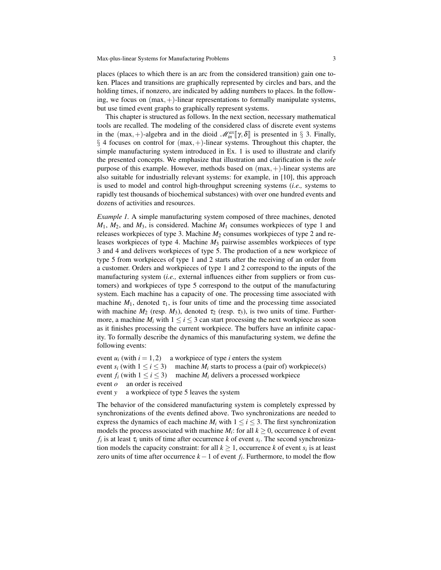places (places to which there is an arc from the considered transition) gain one token. Places and transitions are graphically represented by circles and bars, and the holding times, if nonzero, are indicated by adding numbers to places. In the following, we focus on  $(max,+)$ -linear representations to formally manipulate systems, but use timed event graphs to graphically represent systems.

This chapter is structured as follows. In the next section, necessary mathematical tools are recalled. The modeling of the considered class of discrete event systems in the (max, +)-algebra and in the dioid  $\mathcal{M}_{lin}^{\alpha x} [\gamma, \delta]$  is presented in § 3. Finally,  $\delta$  4 focuses on control for (max, +) linear systems. Throughout this chapter the  $\S$  4 focuses on control for  $(max,+)$ -linear systems. Throughout this chapter, the simple manufacturing system introduced in Ex. 1 is used to illustrate and clarify the presented concepts. We emphasize that illustration and clarification is the *sole* purpose of this example. However, methods based on  $(max,+)$ -linear systems are also suitable for industrially relevant systems: for example, in [10], this approach is used to model and control high-throughput screening systems (*i.e.,* systems to rapidly test thousands of biochemical substances) with over one hundred events and dozens of activities and resources.

*Example 1.* A simple manufacturing system composed of three machines, denoted  $M_1$ ,  $M_2$ , and  $M_3$ , is considered. Machine  $M_1$  consumes workpieces of type 1 and releases workpieces of type 3. Machine  $M_2$  consumes workpieces of type 2 and releases workpieces of type 4. Machine *M*<sup>3</sup> pairwise assembles workpieces of type 3 and 4 and delivers workpieces of type 5. The production of a new workpiece of type 5 from workpieces of type 1 and 2 starts after the receiving of an order from a customer. Orders and workpieces of type 1 and 2 correspond to the inputs of the manufacturing system (*i.e.,* external influences either from suppliers or from customers) and workpieces of type 5 correspond to the output of the manufacturing system. Each machine has a capacity of one. The processing time associated with machine  $M_1$ , denoted  $\tau_1$ , is four units of time and the processing time associated with machine  $M_2$  (resp.  $M_3$ ), denoted  $\tau_2$  (resp.  $\tau_3$ ), is two units of time. Furthermore, a machine  $M_i$  with  $1 \le i \le 3$  can start processing the next workpiece as soon as it finishes processing the current workpiece. The buffers have an infinite capacity. To formally describe the dynamics of this manufacturing system, we define the following events:

event  $u_i$  (with  $i = 1, 2$ ) a workpiece of type *i* enters the system event  $s_i$  (with  $1 \le i \le 3$ ) machine  $M_i$  starts to process a (pair of) workpiece(s) event  $f_i$  (with  $1 \le i \le 3$ ) machine  $M_i$  delivers a processed workpiece event *o* an order is received event *y* a workpiece of type 5 leaves the system

The behavior of the considered manufacturing system is completely expressed by synchronizations of the events defined above. Two synchronizations are needed to express the dynamics of each machine  $M_i$  with  $1 \le i \le 3$ . The first synchronization models the process associated with machine  $M_i$ : for all  $k \geq 0$ , occurrence k of event  $f_i$  is at least  $\tau_i$  units of time after occurrence *k* of event  $s_i$ . The second synchronization models the capacity constraint: for all  $k \geq 1$ , occurrence *k* of event  $s_i$  is at least zero units of time after occurrence  $k-1$  of event  $f_i$ . Furthermore, to model the flow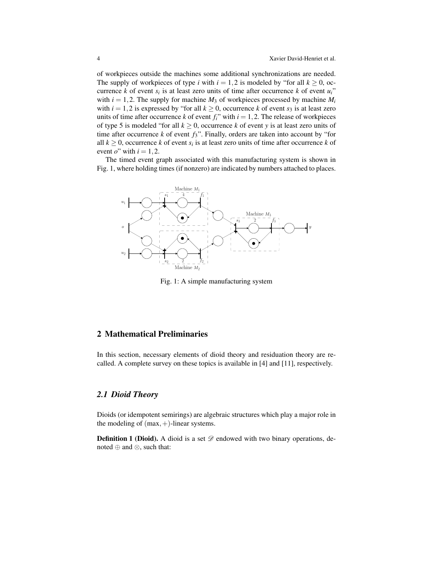of workpieces outside the machines some additional synchronizations are needed. The supply of workpieces of type *i* with  $i = 1,2$  is modeled by "for all  $k \ge 0$ , occurrence *k* of event  $s_i$  is at least zero units of time after occurrence *k* of event  $u_i$ <sup>"</sup> with  $i = 1, 2$ . The supply for machine  $M_3$  of workpieces processed by machine  $M_i$ with  $i = 1,2$  is expressed by "for all  $k \ge 0$ , occurrence k of event  $s_3$  is at least zero units of time after occurrence *k* of event  $f_i$ " with  $i = 1, 2$ . The release of workpieces of type 5 is modeled "for all  $k \geq 0$ , occurrence *k* of event *y* is at least zero units of time after occurrence  $k$  of event  $f_3$ ". Finally, orders are taken into account by "for all  $k \geq 0$ , occurrence k of event  $s_i$  is at least zero units of time after occurrence k of event  $o$ " with  $i = 1, 2$ .

The timed event graph associated with this manufacturing system is shown in Fig. 1, where holding times (if nonzero) are indicated by numbers attached to places.



Fig. 1: A simple manufacturing system

## 2 Mathematical Preliminaries

In this section, necessary elements of dioid theory and residuation theory are recalled. A complete survey on these topics is available in [4] and [11], respectively.

## *2.1 Dioid Theory*

Dioids (or idempotent semirings) are algebraic structures which play a major role in the modeling of  $(max, +)$ -linear systems.

**Definition 1 (Dioid).** A dioid is a set  $\mathscr{D}$  endowed with two binary operations, denoted ⊕ and ⊗, such that: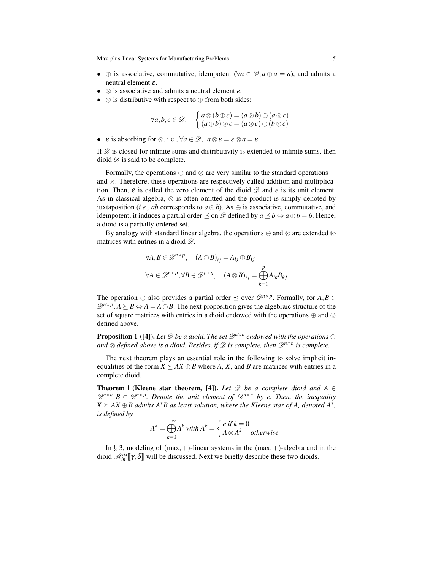- $\oplus$  is associative, commutative, idempotent ( $\forall a \in \mathcal{D}, a \oplus a = a$ ), and admits a neutral element ε.
- ⊗ is associative and admits a neutral element *e*.
- $\otimes$  is distributive with respect to  $\oplus$  from both sides:

$$
\forall a, b, c \in \mathscr{D}, \quad \begin{cases} a \otimes (b \oplus c) = (a \otimes b) \oplus (a \otimes c) \\ (a \oplus b) \otimes c = (a \otimes c) \oplus (b \otimes c) \end{cases}
$$

•  $\varepsilon$  is absorbing for  $\otimes$ , i.e.,  $\forall a \in \mathcal{D}$ ,  $a \otimes \varepsilon = \varepsilon \otimes a = \varepsilon$ .

If  $\mathscr{D}$  is closed for infinite sums and distributivity is extended to infinite sums, then dioid  $\mathscr{D}$  is said to be complete.

Formally, the operations  $\oplus$  and  $\otimes$  are very similar to the standard operations + and  $\times$ . Therefore, these operations are respectively called addition and multiplication. Then,  $\varepsilon$  is called the zero element of the dioid  $\mathscr D$  and  $e$  is its unit element. As in classical algebra,  $\otimes$  is often omitted and the product is simply denoted by juxtaposition (*i.e., ab* corresponds to *a*⊗*b*). As ⊕ is associative, commutative, and idempotent, it induces a partial order  $\preceq$  on  $\mathscr{D}$  defined by  $a \preceq b \Leftrightarrow a \oplus b = b$ . Hence, a dioid is a partially ordered set.

By analogy with standard linear algebra, the operations ⊕ and ⊗ are extended to matrices with entries in a dioid  $\mathscr{D}$ .

$$
\forall A, B \in \mathcal{D}^{n \times p}, \quad (A \oplus B)_{ij} = A_{ij} \oplus B_{ij}
$$

$$
\forall A \in \mathcal{D}^{n \times p}, \forall B \in \mathcal{D}^{p \times q}, \quad (A \otimes B)_{ij} = \bigoplus_{k=1}^{p} A_{ik} B_{kj}
$$

The operation  $\oplus$  also provides a partial order  $\preceq$  over  $\mathscr{D}^{n \times p}$ . Formally, for  $A, B \in$  $\mathscr{D}^{n \times p}$ ,  $A \succeq B \Leftrightarrow A = A \oplus B$ . The next proposition gives the algebraic structure of the set of square matrices with entries in a dioid endowed with the operations  $oplus$  and  $\otimes$ defined above.

**Proposition 1** ([4]). Let  $\mathscr{D}$  be a dioid. The set  $\mathscr{D}^{n \times n}$  endowed with the operations  $\oplus$ and  $\otimes$  defined above is a dioid. Besides, if  $\mathscr D$  is complete, then  $\mathscr D^{n\times n}$  is complete.

The next theorem plays an essential role in the following to solve implicit inequalities of the form  $X \succeq AX \oplus B$  where A, X, and B are matrices with entries in a complete dioid.

**Theorem 1 (Kleene star theorem, [4]).** *Let*  $\mathscr D$  *be a complete dioid and*  $A \in$  $\mathscr{D}^{n \times n}, B \in \mathscr{D}^{n \times p}$ . Denote the unit element of  $\mathscr{D}^{n \times n}$  by e. Then, the inequality  $X \succeq AX \oplus B$  admits  $A^*B$  as least solution, where the Kleene star of A, denoted  $A^*$ , *is defined by*

$$
A^* = \bigoplus_{k=0}^{+\infty} A^k \text{ with } A^k = \begin{cases} e \text{ if } k=0\\ A \otimes A^{k-1} \text{ otherwise} \end{cases}
$$

In  $\S$  3, modeling of  $(max,+)$ -linear systems in the  $(max,+)$ -algebra and in the dioid  $\mathcal{M}_{in}^{\alpha x}[\gamma, \delta]$  will be discussed. Next we briefly describe these two dioids.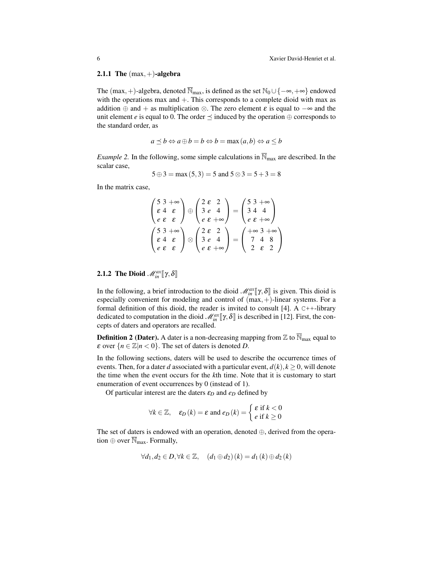#### **2.1.1 The**  $(max, +)$ -algebra

The (max, +)-algebra, denoted  $\overline{N}_{max}$ , is defined as the set  $N_0 \cup \{-\infty, +\infty\}$  endowed with the operations max and  $+$ . This corresponds to a complete dioid with max as addition  $\oplus$  and + as multiplication  $\otimes$ . The zero element  $\varepsilon$  is equal to  $-\infty$  and the unit element *e* is equal to 0. The order  $\preceq$  induced by the operation  $\oplus$  corresponds to the standard order, as

$$
a \preceq b \Leftrightarrow a \oplus b = b \Leftrightarrow b = \max(a, b) \Leftrightarrow a \le b
$$

*Example 2.* In the following, some simple calculations in  $\overline{N}_{max}$  are described. In the scalar case,

$$
5 \oplus 3 = \max(5,3) = 5
$$
 and  $5 \otimes 3 = 5 + 3 = 8$ 

In the matrix case,

| $\left(53 + \infty\right)$ $\left(2 \varepsilon 2\right)$                                                                                                                     |                 |  | $\left(53 + \infty\right)$ |      |  |
|-------------------------------------------------------------------------------------------------------------------------------------------------------------------------------|-----------------|--|----------------------------|------|--|
| $\epsilon$ 4 $\varepsilon$                                                                                                                                                    | 3e4             |  |                            | 34 4 |  |
| $\begin{pmatrix} e & \varepsilon & \varepsilon \end{pmatrix} \begin{pmatrix} e & \varepsilon & +\infty \end{pmatrix} \begin{pmatrix} e & \varepsilon & +\infty \end{pmatrix}$ |                 |  |                            |      |  |
| $\left(53+\infty\right)$ $\left(2\epsilon\right)$ $\left(+\infty\right)$ $\left(+\infty\right)$                                                                               |                 |  |                            |      |  |
| $\epsilon$ 4 $\epsilon$                                                                                                                                                       | $\otimes$ 3 e 4 |  | $= 748$                    |      |  |
| $\left(e \varepsilon \varepsilon \right)$ $\left(e \varepsilon + \infty\right)$ $\left(2 \varepsilon 2 \right)$                                                               |                 |  |                            |      |  |

**2.1.2** The Dioid  $\mathcal{M}_{in}^{ax}[\n\gamma, \delta]$ 

In the following, a brief introduction to the dioid  $\mathcal{M}_{in}^{\alpha x}[\![\gamma,\delta]\!]$  is given. This dioid is generally convenient for modeling and control of  $(n\alpha x + \epsilon)$  linear systems. For a especially convenient for modeling and control of  $(max,+)$ -linear systems. For a formal definition of this dioid, the reader is invited to consult [4]. A  $C++-$ library dedicated to computation in the dioid  $\mathcal{M}_{lin}^{\alpha x} [\gamma, \delta]$  is described in [12]. First, the concepts of daters and operators are recalled.

**Definition 2 (Dater).** A dater is a non-decreasing mapping from  $\mathbb{Z}$  to  $\overline{\mathbb{N}}_{\text{max}}$  equal to  $\varepsilon$  over  $\{n \in \mathbb{Z} | n < 0\}$ . The set of daters is denoted *D*.

In the following sections, daters will be used to describe the occurrence times of events. Then, for a dater *d* associated with a particular event,  $d(k)$ ,  $k \ge 0$ , will denote the time when the event occurs for the *k*th time. Note that it is customary to start enumeration of event occurrences by 0 (instead of 1).

Of particular interest are the daters  $\varepsilon_D$  and  $e_D$  defined by

$$
\forall k \in \mathbb{Z}, \quad \varepsilon_D(k) = \varepsilon \text{ and } e_D(k) = \begin{cases} \varepsilon \text{ if } k < 0\\ e \text{ if } k \ge 0 \end{cases}
$$

The set of daters is endowed with an operation, denoted ⊕, derived from the operation  $\oplus$  over  $\overline{\mathbb{N}}_{\text{max}}$ . Formally,

$$
\forall d_1, d_2 \in D, \forall k \in \mathbb{Z}, \quad (d_1 \oplus d_2)(k) = d_1(k) \oplus d_2(k)
$$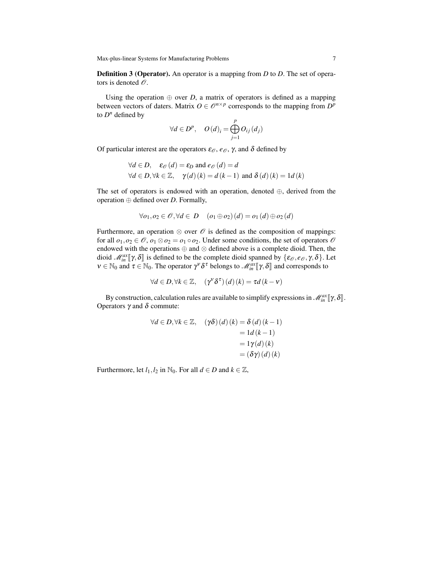Definition 3 (Operator). An operator is a mapping from *D* to *D*. The set of operators is denoted  $\mathcal O$ .

Using the operation  $oplus$  over *D*, a matrix of operators is defined as a mapping between vectors of daters. Matrix  $O \in \mathcal{O}^{n \times p}$  corresponds to the mapping from  $D^p$ to  $D^n$  defined by

$$
\forall d \in D^p, \quad O(d)_i = \bigoplus_{j=1}^p O_{ij}(d_j)
$$

Of particular interest are the operators  $\varepsilon_{\mathcal{O}}$ ,  $e_{\mathcal{O}}$ ,  $\gamma$ , and  $\delta$  defined by

$$
\forall d \in D, \quad \varepsilon_{\mathcal{O}}(d) = \varepsilon_D \text{ and } e_{\mathcal{O}}(d) = d
$$
  

$$
\forall d \in D, \forall k \in \mathbb{Z}, \quad \gamma(d)(k) = d(k-1) \text{ and } \delta(d)(k) = 1d(k)
$$

The set of operators is endowed with an operation, denoted  $\oplus$ , derived from the operation ⊕ defined over *D*. Formally,

$$
\forall o_1, o_2 \in \mathscr{O}, \forall d \in D \quad (o_1 \oplus o_2)(d) = o_1(d) \oplus o_2(d)
$$

Furthermore, an operation  $\otimes$  over  $\mathscr O$  is defined as the composition of mappings: for all  $o_1, o_2 \in \mathcal{O}$ ,  $o_1 \otimes o_2 = o_1 \circ o_2$ . Under some conditions, the set of operators  $\mathcal O$ endowed with the operations ⊕ and ⊗ defined above is a complete dioid. Then, the dioid  $\mathcal{M}_{in}^{\alpha x}[\![\gamma, \delta]\!]$  is defined to be the complete dioid spanned by  $\{\varepsilon_{\mathcal{O}}, e_{\mathcal{O}}, \gamma, \delta\}$ . Let  $v \in \mathbb{N}_0$  and  $\tau \in \mathbb{N}_0$ . The operator  $\gamma^v \delta^\tau$  belongs to  $\mathcal{M}_{in}^{\alpha x}[\![\gamma, \delta]\!]$  and corresponds

$$
\forall d \in D, \forall k \in \mathbb{Z}, \quad (\gamma^{\nu} \delta^{\tau}) (d) (k) = \tau d (k - \nu)
$$

By construction, calculation rules are available to simplify expressions in  $\mathcal{M}_{in}^{\alpha x} [\![\gamma, \delta]\!]$ . Operators  $γ$  and  $δ$  commute:

$$
\forall d \in D, \forall k \in \mathbb{Z}, \quad (\gamma \delta)(d)(k) = \delta(d)(k-1)
$$
  
= 1d(k-1)  
= 1 $\gamma$ (d)(k)  
=  $(\delta \gamma)(d)(k)$ 

Furthermore, let  $l_1, l_2$  in  $\mathbb{N}_0$ . For all  $d \in D$  and  $k \in \mathbb{Z}$ ,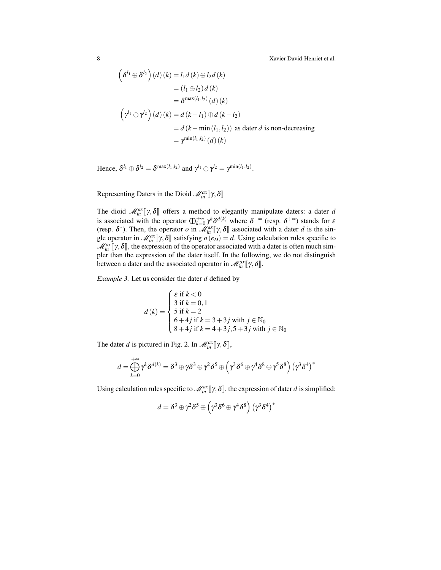8 Xavier David-Henriet et al.

$$
\left(\delta^{l_1} \oplus \delta^{l_2}\right)(d)(k) = l_1 d(k) \oplus l_2 d(k)
$$
  
\n
$$
= (l_1 \oplus l_2) d(k)
$$
  
\n
$$
= \delta^{\max(l_1, l_2)}(d)(k)
$$
  
\n
$$
\left(\gamma^{l_1} \oplus \gamma^{l_2}\right)(d)(k) = d(k - l_1) \oplus d(k - l_2)
$$
  
\n
$$
= d(k - \min(l_1, l_2)) \text{ as date } d \text{ is non-decreasing}
$$
  
\n
$$
= \gamma^{\min(l_1, l_2)}(d)(k)
$$

Hence,  $\delta^{l_1} \oplus \delta^{l_2} = \delta^{\max(l_1, l_2)}$  and  $\gamma^{l_1} \oplus \gamma^{l_2} = \gamma^{\min(l_1, l_2)}$ .

Representing Daters in the Dioid  $\mathcal{M}_{in}^{\alpha x}[\,\,\gamma,\delta\,]$ 

The dioid  $\mathcal{M}_{in}^{\text{ar}}[\gamma, \delta]$  offers a method to elegantly manipulate daters: a dater *d* is associated with the operator  $\bigoplus_{k=0}^{+\infty} \gamma^k \delta^{d(k)}$  where  $\delta^{-\infty}$  (resp.  $\delta^{+\infty}$ ) stands for  $\varepsilon$ (resp.  $\delta^*$ ). Then, the operator  $o$  in  $\mathcal{M}_{in}^{\alpha x}[\![\gamma,\delta]\!]$  associated with a dater  $d$  is the single operator in  $\mathcal{M}_{in}^{\alpha x}[\![\gamma,\delta]\!]$  satisfying  $o(e_D) = d$ . Using calculation rules specific to  $\mathcal{M}_{in}^{\alpha x}[\![\gamma,\delta$ pler than the expression of the dater itself. In the following, we do not distinguish between a dater and the associated operator in  $\mathcal{M}_{in}^{\alpha x} [\n\gamma, \delta]$ .

*Example 3.* Let us consider the dater *d* defined by

$$
d(k) = \begin{cases} \varepsilon \text{ if } k < 0 \\ 3 \text{ if } k = 0, 1 \\ 5 \text{ if } k = 2 \\ 6 + 4j \text{ if } k = 3 + 3j \text{ with } j \in \mathbb{N}_0 \\ 8 + 4j \text{ if } k = 4 + 3j, 5 + 3j \text{ with } j \in \mathbb{N}_0 \end{cases}
$$

The dater *d* is pictured in Fig. 2. In  $\mathcal{M}_{in}^{\text{ax}}[\![\gamma, \delta]\!]$ ,

$$
d = \bigoplus_{k=0}^{+\infty} \gamma^k \delta^{d(k)} = \delta^3 \oplus \gamma \delta^3 \oplus \gamma^2 \delta^5 \oplus \left( \gamma^3 \delta^6 \oplus \gamma^4 \delta^8 \oplus \gamma^5 \delta^8 \right) \left( \gamma^3 \delta^4 \right)^*
$$

Using calculation rules specific to  $\mathcal{M}_{in}^{\alpha x} [\![\gamma,\delta]\!]$ , the expression of dater *d* is simplified:

$$
d = \delta^3 \oplus \gamma^2 \delta^5 \oplus \left( \gamma^3 \delta^6 \oplus \gamma^4 \delta^8 \right) \left( \gamma^3 \delta^4 \right)^*
$$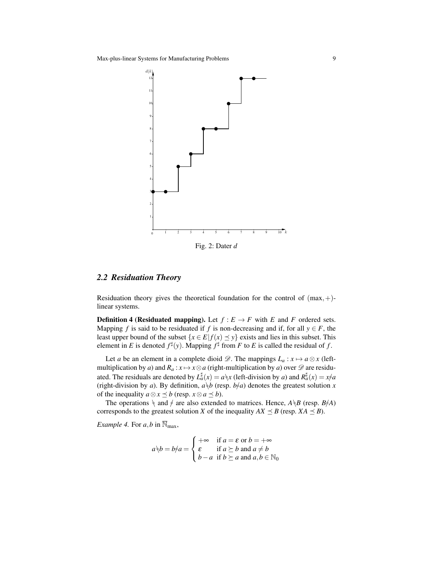

Fig. 2: Dater *d*

## *2.2 Residuation Theory*

Residuation theory gives the theoretical foundation for the control of  $(max,+)$ linear systems.

**Definition 4 (Residuated mapping).** Let  $f : E \to F$  with *E* and *F* ordered sets. Mapping *f* is said to be residuated if *f* is non-decreasing and if, for all  $y \in F$ , the least upper bound of the subset  $\{x \in E | f(x) \leq y\}$  exists and lies in this subset. This element in *E* is denoted  $f^{\sharp}(y)$ . Mapping  $f^{\sharp}$  from *F* to *E* is called the residual of *f*.

Let *a* be an element in a complete dioid  $\mathscr{D}$ . The mappings  $L_a: x \mapsto a \otimes x$  (leftmultiplication by *a*) and  $R_a: x \mapsto x \otimes a$  (right-multiplication by *a*) over  $\mathscr D$  are residuated. The residuals are denoted by  $L_a^{\sharp}(x) = a \setminus x$  (left-division by *a*) and  $R_a^{\sharp}(x) = x \notin a$ (right-division by *a*). By definition,  $a\$ slash b (resp.  $b\not\$ a) denotes the greatest solution *x* of the inequality  $a \otimes x \preceq b$  (resp.  $x \otimes a \preceq b$ ).

The operations  $\setminus$  and  $\neq$  are also extended to matrices. Hence,  $A \setminus B$  (resp.  $B \neq A$ ) corresponds to the greatest solution *X* of the inequality  $AX \leq B$  (resp.  $XA \leq B$ ).

*Example 4.* For *a*, *b* in  $\overline{\mathbb{N}}_{\text{max}}$ ,

$$
a \S b = b \not\circ a = \begin{cases} +\infty & \text{if } a = \varepsilon \text{ or } b = +\infty \\ \varepsilon & \text{if } a \succeq b \text{ and } a \neq b \\ b - a & \text{if } b \succeq a \text{ and } a, b \in \mathbb{N}_0 \end{cases}
$$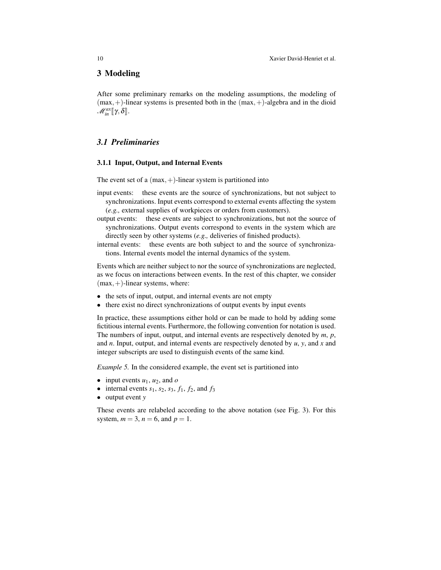## 3 Modeling

After some preliminary remarks on the modeling assumptions, the modeling of  $(max,+)$ -linear systems is presented both in the  $(max,+)$ -algebra and in the dioid  $\mathscr{M}_{in}^{ax}[\![\gamma,\delta]\!].$ 

## *3.1 Preliminaries*

#### 3.1.1 Input, Output, and Internal Events

The event set of a  $(max,+)$ -linear system is partitioned into

- input events: these events are the source of synchronizations, but not subject to synchronizations. Input events correspond to external events affecting the system (*e.g.,* external supplies of workpieces or orders from customers).
- output events: these events are subject to synchronizations, but not the source of synchronizations. Output events correspond to events in the system which are directly seen by other systems (*e.g.,* deliveries of finished products).

internal events: these events are both subject to and the source of synchronizations. Internal events model the internal dynamics of the system.

Events which are neither subject to nor the source of synchronizations are neglected, as we focus on interactions between events. In the rest of this chapter, we consider  $(max, +)$ -linear systems, where:

- the sets of input, output, and internal events are not empty
- there exist no direct synchronizations of output events by input events

In practice, these assumptions either hold or can be made to hold by adding some fictitious internal events. Furthermore, the following convention for notation is used. The numbers of input, output, and internal events are respectively denoted by *m*, *p*, and *n*. Input, output, and internal events are respectively denoted by *u*, *y*, and *x* and integer subscripts are used to distinguish events of the same kind.

*Example 5.* In the considered example, the event set is partitioned into

- input events  $u_1$ ,  $u_2$ , and  $o$
- internal events  $s_1$ ,  $s_2$ ,  $s_3$ ,  $f_1$ ,  $f_2$ , and  $f_3$
- output event *y*

These events are relabeled according to the above notation (see Fig. 3). For this system,  $m = 3$ ,  $n = 6$ , and  $p = 1$ .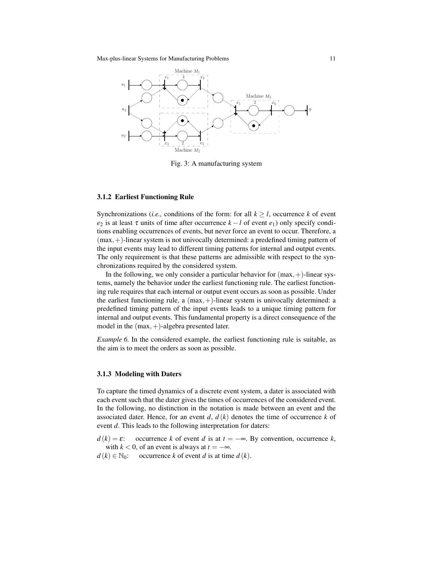

Fig. 3: A manufacturing system

#### 3.1.2 Earliest Functioning Rule

Synchronizations (*i.e.*, conditions of the form: for all  $k \geq l$ , occurrence *k* of event *e*<sub>2</sub> is at least  $\tau$  units of time after occurrence  $k - l$  of event  $e_1$ ) only specify conditions enabling occurrences of events, but never force an event to occur. Therefore, a (max,+)-linear system is not univocally determined: a predefined timing pattern of the input events may lead to different timing patterns for internal and output events. The only requirement is that these patterns are admissible with respect to the synchronizations required by the considered system.

In the following, we only consider a particular behavior for  $(max,+)$ -linear systems, namely the behavior under the earliest functioning rule. The earliest functioning rule requires that each internal or output event occurs as soon as possible. Under the earliest functioning rule, a  $(max,+)$ -linear system is univocally determined: a predefined timing pattern of the input events leads to a unique timing pattern for internal and output events. This fundamental property is a direct consequence of the model in the  $(max, +)$ -algebra presented later.

*Example 6.* In the considered example, the earliest functioning rule is suitable, as the aim is to meet the orders as soon as possible.

#### 3.1.3 Modeling with Daters

To capture the timed dynamics of a discrete event system, a dater is associated with each event such that the dater gives the times of occurrences of the considered event. In the following, no distinction in the notation is made between an event and the associated dater. Hence, for an event  $d$ ,  $d(k)$  denotes the time of occurrence  $k$  of event *d*. This leads to the following interpretation for daters:

 $d(k) = \varepsilon$ : occurrence *k* of event *d* is at  $t = -\infty$ . By convention, occurrence *k*, with  $k < 0$ , of an event is always at  $t = -\infty$ .

 $d(k) \in \mathbb{N}_0$ : occurrence *k* of event *d* is at time  $d(k)$ .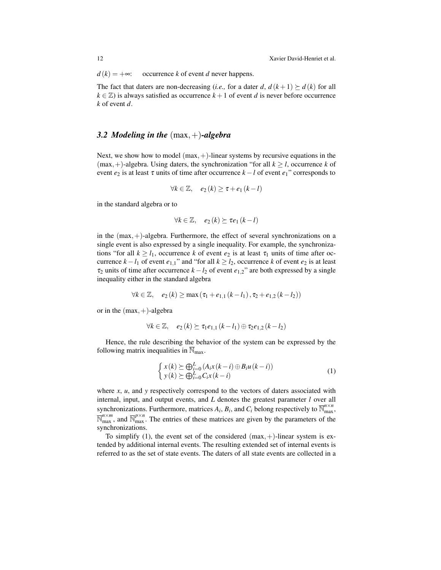$d(k) = +\infty$ : occurrence *k* of event *d* never happens.

The fact that daters are non-decreasing (*i.e.*, for a dater *d*,  $d(k+1) \succeq d(k)$  for all  $k \in \mathbb{Z}$ ) is always satisfied as occurrence  $k+1$  of event *d* is never before occurrence *k* of event *d*.

## *3.2 Modeling in the*  $(max, +)$ -*algebra*

Next, we show how to model  $(max, +)$ -linear systems by recursive equations in the (max, +)-algebra. Using daters, the synchronization "for all  $k \geq l$ , occurrence *k* of event  $e_2$  is at least  $\tau$  units of time after occurrence  $k - l$  of event  $e_1$ " corresponds to

$$
\forall k \in \mathbb{Z}, \quad e_2(k) \geq \tau + e_1(k-l)
$$

in the standard algebra or to

$$
\forall k \in \mathbb{Z}, \quad e_2(k) \succeq \tau e_1(k-l)
$$

in the  $(max,+)$ -algebra. Furthermore, the effect of several synchronizations on a single event is also expressed by a single inequality. For example, the synchronizations "for all  $k \geq l_1$ , occurrence k of event  $e_2$  is at least  $\tau_1$  units of time after occurrence  $k - l_1$  of event  $e_{1,1}$ " and "for all  $k \ge l_2$ , occurrence  $k$  of event  $e_2$  is at least  $\tau_2$  units of time after occurrence  $k - l_2$  of event  $e_{1,2}$ " are both expressed by a single inequality either in the standard algebra

$$
\forall k \in \mathbb{Z}, \quad e_2(k) \ge \max(\tau_1 + e_{1,1}(k - l_1), \tau_2 + e_{1,2}(k - l_2))
$$

or in the  $(max, +)$ -algebra

$$
\forall k \in \mathbb{Z}, \quad e_2(k) \succeq \tau_1 e_{1,1} (k - l_1) \oplus \tau_2 e_{1,2} (k - l_2)
$$

Hence, the rule describing the behavior of the system can be expressed by the following matrix inequalities in  $\overline{\mathbb{N}}_{\text{max}}$ .

$$
\begin{cases} x(k) \geq \bigoplus_{i=0}^{L} (A_i x(k-i) \oplus B_i u(k-i)) \\ y(k) \geq \bigoplus_{i=0}^{L} C_i x(k-i) \end{cases}
$$
 (1)

where  $x$ ,  $u$ , and  $y$  respectively correspond to the vectors of daters associated with internal, input, and output events, and *L* denotes the greatest parameter *l* over all synchronizations. Furthermore, matrices  $A_i$ ,  $B_i$ , and  $C_i$  belong respectively to  $\overline{N}_{\max}^{n \times n}$ ,  $\overline{N}_{\text{max}}^{n \times m}$ , and  $\overline{N}_{\text{max}}^{p \times n}$ . The entries of these matrices are given by the parameters of the synchronizations.

To simplify (1), the event set of the considered  $(max,+)$ -linear system is extended by additional internal events. The resulting extended set of internal events is referred to as the set of state events. The daters of all state events are collected in a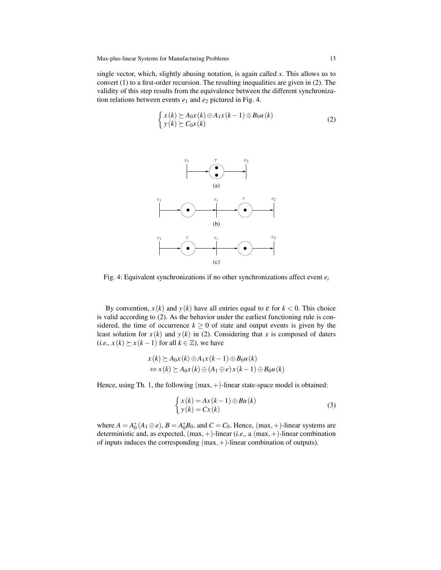single vector, which, slightly abusing notation, is again called *x*. This allows us to convert (1) to a first-order recursion. The resulting inequalities are given in (2). The validity of this step results from the equivalence between the different synchronization relations between events *e*<sup>1</sup> and *e*<sup>2</sup> pictured in Fig. 4.

$$
\begin{cases} x(k) \ge A_0 x(k) \oplus A_1 x(k-1) \oplus B_0 u(k) \\ y(k) \ge C_0 x(k) \end{cases}
$$
 (2)



Fig. 4: Equivalent synchronizations if no other synchronizations affect event *e<sup>i</sup>*

By convention,  $x(k)$  and  $y(k)$  have all entries equal to  $\varepsilon$  for  $k < 0$ . This choice is valid according to (2). As the behavior under the earliest functioning rule is considered, the time of occurrence  $k \geq 0$  of state and output events is given by the least solution for  $x(k)$  and  $y(k)$  in (2). Considering that *x* is composed of daters (*i.e.*,  $x(k) \ge x(k-1)$  for all  $k \in \mathbb{Z}$ ), we have

$$
x(k) \succeq A_0 x(k) \oplus A_1 x(k-1) \oplus B_0 u(k)
$$
  

$$
\Leftrightarrow x(k) \succeq A_0 x(k) \oplus (A_1 \oplus e) x(k-1) \oplus B_0 u(k)
$$

Hence, using Th. 1, the following  $(max, +)$ -linear state-space model is obtained:

$$
\begin{cases} x(k) = Ax(k-1) \oplus Bu(k) \\ y(k) = Cx(k) \end{cases}
$$
 (3)

where  $A = A_0^* (A_1 \oplus e)$ ,  $B = A_0^* B_0$ , and  $C = C_0$ . Hence,  $(\max, +)$ -linear systems are deterministic and, as expected, (max,+)-linear (*i.e.,* a (max,+)-linear combination of inputs induces the corresponding  $(max,+)$ -linear combination of outputs).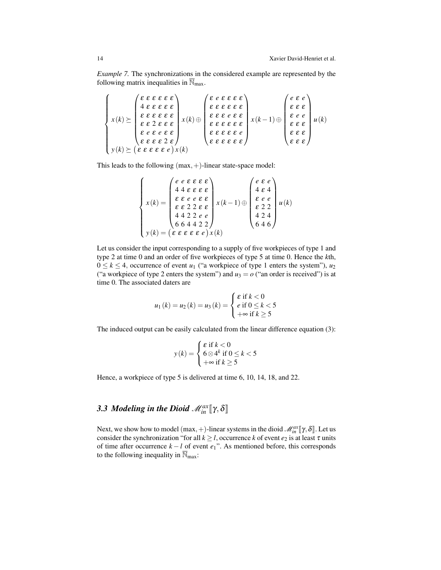*Example 7.* The synchronizations in the considered example are represented by the following matrix inequalities in  $\overline{\mathbb{N}}_{\text{max}}$ .

 *y* (*k*) *x* (*k*) ε ε ε ε ε ε 4 ε ε ε ε ε ε ε ε ε ε ε ε ε 2 ε ε ε ε *e* ε *e* ε ε ε ε ε ε 2 ε *x* (*k*)⊕ ε *e* ε ε ε ε ε ε ε ε ε ε ε ε ε *e* ε ε ε ε ε ε ε ε ε ε ε ε ε *e* ε ε ε ε ε ε *x* (*k* −1)⊕ *e* ε *e* ε ε ε ε *e e* ε ε ε ε ε ε ε ε ε *u*(*k*) ε ε ε ε ε *e x* (*k*)

This leads to the following  $(max,+)$ -linear state-space model:

$$
\begin{cases}\nx(k) = \begin{pmatrix}\ne e & e \in \varepsilon \in \varepsilon \\
4 & 4 \in \varepsilon \in \varepsilon \\
\varepsilon \in e & e \in \varepsilon \\
\varepsilon \in 2 & 2 \in \varepsilon \\
4 & 4 & 2 & 2 \in \varepsilon \\
6 & 6 & 4 & 4 & 2 & 2\n\end{pmatrix} x(k-1) \oplus \begin{pmatrix}\ne e & e \\
4 & \varepsilon & 4 \\
\varepsilon & e \\
\varepsilon & 2 & 2 \\
4 & 2 & 4 \\
4 & 2 & 4\n\end{pmatrix} u(k) \\
y(k) = (\varepsilon \varepsilon \varepsilon \varepsilon \varepsilon \varepsilon e) x(k)\n\end{cases}
$$

Let us consider the input corresponding to a supply of five workpieces of type 1 and type 2 at time 0 and an order of five workpieces of type 5 at time 0. Hence the *k*th,  $0 \le k \le 4$ , occurrence of event  $u_1$  ("a workpiece of type 1 enters the system"),  $u_2$ ("a workpiece of type 2 enters the system") and  $u_3 = o$  ("an order is received") is at time 0. The associated daters are

$$
u_1(k) = u_2(k) = u_3(k) = \begin{cases} \varepsilon \text{ if } k < 0\\ e \text{ if } 0 \le k < 5\\ +\infty \text{ if } k \ge 5 \end{cases}
$$

The induced output can be easily calculated from the linear difference equation (3):

$$
y(k) = \begin{cases} \varepsilon \text{ if } k < 0\\ 6 \otimes 4^k \text{ if } 0 \le k < 5\\ +\infty \text{ if } k \ge 5 \end{cases}
$$

Hence, a workpiece of type 5 is delivered at time 6, 10, 14, 18, and 22.

# *3.3 Modeling in the Dioid*  $\mathscr{M}_{in}^{\text{ax}}[\![\gamma,\delta]\!]$

Next, we show how to model  $(\max, +)$ -linear systems in the dioid  $\mathcal{M}_{in}^{\alpha x}[\gamma, \delta]$ . Let us<br>consider the synchronization "for all  $k > l$  cocurrence k of event  $\alpha$  is at least  $\tau$  units consider the synchronization "for all  $k \geq l$ , occurrence *k* of event  $e_2$  is at least  $\tau$  units of time after occurrence *k* − *l* of event *e*1". As mentioned before, this corresponds to the following inequality in  $\overline{\mathbb{N}}_{\text{max}}$ :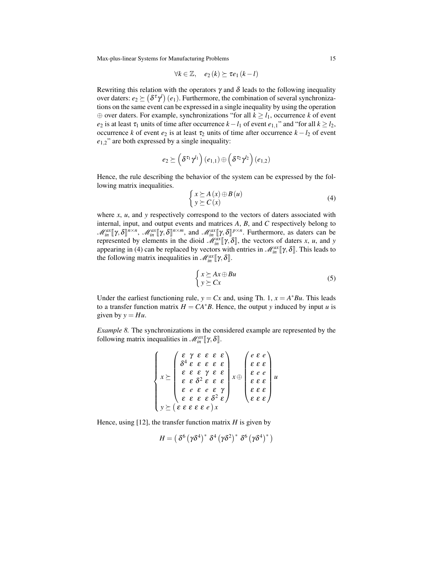$$
\forall k \in \mathbb{Z}, \quad e_2(k) \succeq \tau e_1(k-l)
$$

Rewriting this relation with the operators  $\gamma$  and  $\delta$  leads to the following inequality over daters:  $e_2 \succeq (\delta^{\tau} \gamma^l)(e_1)$ . Furthermore, the combination of several synchronizations on the same event can be expressed in a single inequality by using the operation  $\oplus$  over daters. For example, synchronizations "for all  $k \geq l_1$ , occurrence *k* of event *e*<sub>2</sub> is at least  $\tau_1$  units of time after occurrence  $k - l_1$  of event  $e_{1,1}$ " and "for all  $k \ge l_2$ , occurrence *k* of event  $e_2$  is at least  $\tau_2$  units of time after occurrence  $k - l_2$  of event  $e_{1,2}$ " are both expressed by a single inequality:

$$
e_2 \succeq \left( \delta^{\tau_1} \gamma^{l_1} \right) (e_{1,1}) \oplus \left( \delta^{\tau_2} \gamma^{l_2} \right) (e_{1,2})
$$

Hence, the rule describing the behavior of the system can be expressed by the following matrix inequalities.

$$
\begin{cases} x \succeq A(x) \oplus B(u) \\ y \succeq C(x) \end{cases} \tag{4}
$$

where  $x$ ,  $u$ , and  $y$  respectively correspond to the vectors of daters associated with internal, input, and output events and matrices *A*, *B*, and *C* respectively belong to  $\mathcal{M}_{in}^{\text{ax}}[\gamma,\delta]^{n\times n}$ ,  $\mathcal{M}_{in}^{\text{ax}}[\gamma,\delta]^{n\times m}$ , and  $\mathcal{M}_{in}^{\text{ax}}[\gamma,\delta]^{p\times n}$ . Furthermore, as daters can be represented by elements in the dioid  $\mathcal{M}_{in}^{\text{ax}}[\gamma,\delta]^{n}$  the vectors of daters x u and y represented by elements in the dioid  $\mathcal{M}_{in}^{\alpha x} [\gamma, \delta]$ , the vectors of daters *x*, *u*, and *y* approxima in (4) can be replaced by vectors with entries in  $\mathcal{M}^{\alpha x} [\gamma, \delta]$ . This leads to appearing in (4) can be replaced by vectors with entries in  $\mathcal{M}_{in}^{\alpha x}[\![\gamma,\delta]\!]$ . This leads to the following matrix inequalities in  $\mathcal{M}_{in}^{\text{ax}}[\![\gamma,\delta]\!]$ .

$$
\begin{cases} x \succeq Ax \oplus Bu \\ y \succeq Cx \end{cases} \tag{5}
$$

Under the earliest functioning rule,  $y = Cx$  and, using Th. 1,  $x = A^*Bu$ . This leads to a transfer function matrix  $H = CA^*B$ . Hence, the output *y* induced by input *u* is given by  $y = Hu$ .

*Example 8.* The synchronizations in the considered example are represented by the following matrix inequalities in  $\mathcal{M}_{in}^{\text{ax}}[\![\gamma,\delta]\!]$ .

$$
\begin{cases}\n\begin{aligned}\n\mathbf{z} &\geq \begin{pmatrix}\n\mathbf{z} & \mathbf{y} & \mathbf{z} & \mathbf{z} & \mathbf{z} & \mathbf{z} \\
\mathbf{z} & \mathbf{z} & \mathbf{z} & \mathbf{z} & \mathbf{z} \\
\mathbf{z} & \mathbf{z} & \mathbf{z} & \mathbf{z} & \mathbf{z} \\
\mathbf{z} & \mathbf{z} & \mathbf{z} & \mathbf{z} & \mathbf{z} \\
\mathbf{z} & \mathbf{z} & \mathbf{z} & \mathbf{z} & \mathbf{z} \\
\mathbf{z} & \mathbf{z} & \mathbf{z} & \mathbf{z} & \mathbf{z} \\
\mathbf{z} & \mathbf{z} & \mathbf{z} & \mathbf{z} & \mathbf{z} \\
\mathbf{z} & \mathbf{z} & \mathbf{z} & \mathbf{z} & \mathbf{z} \\
\mathbf{z} & \mathbf{z} & \mathbf{z} & \mathbf{z} & \mathbf{z} \\
\mathbf{z} & \mathbf{z} & \mathbf{z} & \mathbf{z} & \mathbf{z}\n\end{pmatrix}\n\end{cases}\n\end{cases}\n\mathbf{y} \geq (\mathbf{z} \mathbf{z} \mathbf{z} \mathbf{z})\n\mathbf{z}
$$

Hence, using  $[12]$ , the transfer function matrix *H* is given by

$$
H=\left(\,\delta^6\left(\gamma\delta^4\right)^{*} \,\delta^4\left(\gamma\delta^2\right)^{*} \,\delta^6\left(\gamma\delta^4\right)^{*}\right)
$$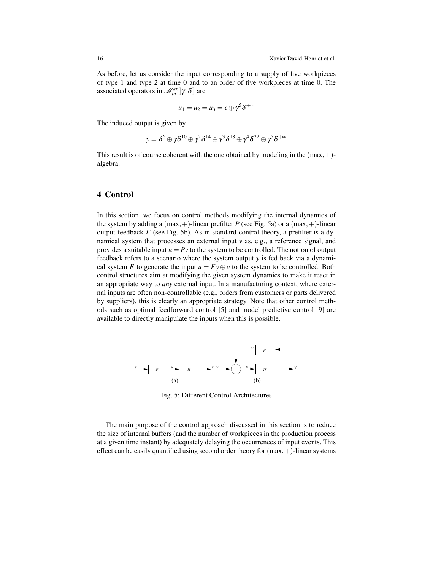As before, let us consider the input corresponding to a supply of five workpieces of type 1 and type 2 at time 0 and to an order of five workpieces at time 0. The associated operators in  $\mathcal{M}_{in}^{\alpha x} [\![\gamma,\delta]\!]$  are

$$
u_1 = u_2 = u_3 = e \oplus \gamma^5 \delta^{+\infty}
$$

The induced output is given by

$$
y = \delta^6 \oplus \gamma \delta^{10} \oplus \gamma^2 \delta^{14} \oplus \gamma^3 \delta^{18} \oplus \gamma^4 \delta^{22} \oplus \gamma^5 \delta^{+\infty}
$$

This result is of course coherent with the one obtained by modeling in the  $(max,+)$ algebra.

## 4 Control

In this section, we focus on control methods modifying the internal dynamics of the system by adding a  $(max,+)$ -linear prefilter *P* (see Fig. 5a) or a  $(max,+)$ -linear output feedback *F* (see Fig. 5b). As in standard control theory, a prefilter is a dynamical system that processes an external input  $\nu$  as, e.g., a reference signal, and provides a suitable input  $u = Pv$  to the system to be controlled. The notion of output feedback refers to a scenario where the system output *y* is fed back via a dynamical system *F* to generate the input  $u = Fy \oplus v$  to the system to be controlled. Both control structures aim at modifying the given system dynamics to make it react in an appropriate way to *any* external input. In a manufacturing context, where external inputs are often non-controllable (e.g., orders from customers or parts delivered by suppliers), this is clearly an appropriate strategy. Note that other control methods such as optimal feedforward control [5] and model predictive control [9] are available to directly manipulate the inputs when this is possible.



Fig. 5: Different Control Architectures

The main purpose of the control approach discussed in this section is to reduce the size of internal buffers (and the number of workpieces in the production process at a given time instant) by adequately delaying the occurrences of input events. This effect can be easily quantified using second order theory for  $(max,+)$ -linear systems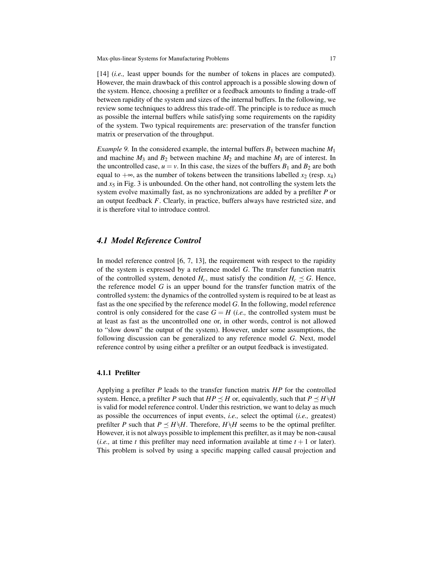[14] (*i.e.,* least upper bounds for the number of tokens in places are computed). However, the main drawback of this control approach is a possible slowing down of the system. Hence, choosing a prefilter or a feedback amounts to finding a trade-off between rapidity of the system and sizes of the internal buffers. In the following, we review some techniques to address this trade-off. The principle is to reduce as much as possible the internal buffers while satisfying some requirements on the rapidity of the system. Two typical requirements are: preservation of the transfer function matrix or preservation of the throughput.

*Example 9.* In the considered example, the internal buffers  $B_1$  between machine  $M_1$ and machine  $M_3$  and  $B_2$  between machine  $M_2$  and machine  $M_3$  are of interest. In the uncontrolled case,  $u = v$ . In this case, the sizes of the buffers  $B_1$  and  $B_2$  are both equal to  $+\infty$ , as the number of tokens between the transitions labelled  $x_2$  (resp.  $x_4$ ) and  $x<sub>5</sub>$  in Fig. 3 is unbounded. On the other hand, not controlling the system lets the system evolve maximally fast, as no synchronizations are added by a prefilter *P* or an output feedback *F*. Clearly, in practice, buffers always have restricted size, and it is therefore vital to introduce control.

## *4.1 Model Reference Control*

In model reference control [6, 7, 13], the requirement with respect to the rapidity of the system is expressed by a reference model *G*. The transfer function matrix of the controlled system, denoted  $H_c$ , must satisfy the condition  $H_c \preceq G$ . Hence, the reference model  $G$  is an upper bound for the transfer function matrix of the controlled system: the dynamics of the controlled system is required to be at least as fast as the one specified by the reference model *G*. In the following, model reference control is only considered for the case  $G = H$  (*i.e.*, the controlled system must be at least as fast as the uncontrolled one or, in other words, control is not allowed to "slow down" the output of the system). However, under some assumptions, the following discussion can be generalized to any reference model *G*. Next, model reference control by using either a prefilter or an output feedback is investigated.

#### 4.1.1 Prefilter

Applying a prefilter *P* leads to the transfer function matrix *HP* for the controlled system. Hence, a prefilter *P* such that  $HP \leq H$  or, equivalently, such that  $P \leq H \setminus H$ is valid for model reference control. Under this restriction, we want to delay as much as possible the occurrences of input events, *i.e.,* select the optimal (*i.e.,* greatest) prefilter *P* such that  $P \leq H \setminus H$ . Therefore,  $H \setminus H$  seems to be the optimal prefilter. However, it is not always possible to implement this prefilter, as it may be non-causal (*i.e.*, at time *t* this prefilter may need information available at time  $t + 1$  or later). This problem is solved by using a specific mapping called causal projection and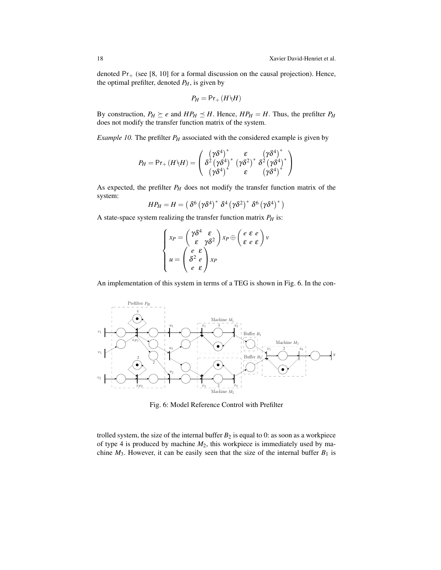denoted  $Pr_+$  (see [8, 10] for a formal discussion on the causal projection). Hence, the optimal prefilter, denoted  $P_H$ , is given by

$$
P_H = \mathsf{Pr}_+(H\backslash H)
$$

By construction,  $P_H \succeq e$  and  $HP_H \preceq H$ . Hence,  $HP_H = H$ . Thus, the prefilter  $P_H$ does not modify the transfer function matrix of the system.

*Example 10.* The prefilter  $P_H$  associated with the considered example is given by

$$
P_H = \mathsf{Pr}_+ (H \setminus H) = \left( \begin{array}{cc} (\gamma \delta^4)^* & \varepsilon & (\gamma \delta^4)^* \\ \delta^2 (\gamma \delta^4)^* & (\gamma \delta^2)^* & \delta^2 (\gamma \delta^4)^* \\ (\gamma \delta^4)^* & \varepsilon & (\gamma \delta^4)^* \end{array} \right)
$$

As expected, the prefilter *P<sup>H</sup>* does not modify the transfer function matrix of the system:

$$
HP_H = H = \left(\delta^6 \left(\gamma \delta^4\right)^* \delta^4 \left(\gamma \delta^2\right)^* \delta^6 \left(\gamma \delta^4\right)^*\right)
$$

A state-space system realizing the transfer function matrix *P<sup>H</sup>* is:

$$
\begin{cases}\n x_P = \begin{pmatrix}\n \gamma \delta^4 & \varepsilon \\
 \varepsilon & \gamma \delta^2\n \end{pmatrix} x_P \oplus \begin{pmatrix} e & \varepsilon & e \\
 \varepsilon & e & \varepsilon\n \end{pmatrix} v \\
 u = \begin{pmatrix} e & \varepsilon \\
 \delta^2 & e \\
 e & \varepsilon\n \end{pmatrix} x_P\n\end{cases}
$$

An implementation of this system in terms of a TEG is shown in Fig. 6. In the con-



Fig. 6: Model Reference Control with Prefilter

trolled system, the size of the internal buffer  $B_2$  is equal to 0: as soon as a workpiece of type 4 is produced by machine *M*2, this workpiece is immediately used by machine  $M_3$ . However, it can be easily seen that the size of the internal buffer  $B_1$  is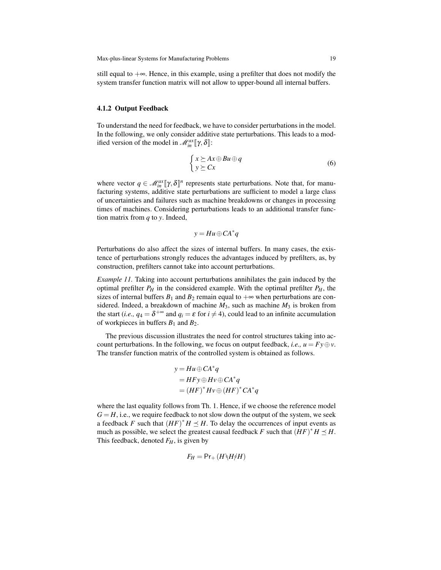still equal to  $+\infty$ . Hence, in this example, using a prefilter that does not modify the system transfer function matrix will not allow to upper-bound all internal buffers.

#### 4.1.2 Output Feedback

To understand the need for feedback, we have to consider perturbations in the model. In the following, we only consider additive state perturbations. This leads to a modified version of the model in  $\mathcal{M}_{in}^{\alpha x} [\![\gamma,\delta]\!]$ :

$$
\begin{cases} x \succeq Ax \oplus Bu \oplus q \\ y \succeq Cx \end{cases} \tag{6}
$$

where vector  $q \in \mathcal{M}_{in}^{\alpha x} [\gamma, \delta]^n$  represents state perturbations. Note that, for manu-<br>fecturing systems, additive state perturbations are sufficient to model a large class facturing systems, additive state perturbations are sufficient to model a large class of uncertainties and failures such as machine breakdowns or changes in processing times of machines. Considering perturbations leads to an additional transfer function matrix from *q* to *y*. Indeed,

$$
y = Hu \oplus CA^*q
$$

Perturbations do also affect the sizes of internal buffers. In many cases, the existence of perturbations strongly reduces the advantages induced by prefilters, as, by construction, prefilters cannot take into account perturbations.

*Example 11.* Taking into account perturbations annihilates the gain induced by the optimal prefilter  $P_H$  in the considered example. With the optimal prefilter  $P_H$ , the sizes of internal buffers  $B_1$  and  $B_2$  remain equal to  $+\infty$  when perturbations are considered. Indeed, a breakdown of machine  $M_3$ , such as machine  $M_3$  is broken from the start (*i.e.*,  $q_4 = \delta^{+\infty}$  and  $q_i = \varepsilon$  for  $i \neq 4$ ), could lead to an infinite accumulation of workpieces in buffers  $B_1$  and  $B_2$ .

The previous discussion illustrates the need for control structures taking into account perturbations. In the following, we focus on output feedback, *i.e.*,  $u = Fy \oplus v$ . The transfer function matrix of the controlled system is obtained as follows.

$$
y = Hu \oplus CA^*q
$$
  
= HF $y \oplus Hv \oplus CA^*q$   
= (HF)<sup>\*</sup> H $v \oplus (HF)^* CA^*q$ 

where the last equality follows from Th. 1. Hence, if we choose the reference model  $G = H$ , i.e., we require feedback to not slow down the output of the system, we seek a feedback *F* such that  $(HF)^*H \leq H$ . To delay the occurrences of input events as much as possible, we select the greatest causal feedback *F* such that  $(HF)^*H \preceq H$ . This feedback, denoted *FH*, is given by

$$
F_H = \mathsf{Pr}_+ \left( H \backslash H \# H \right)
$$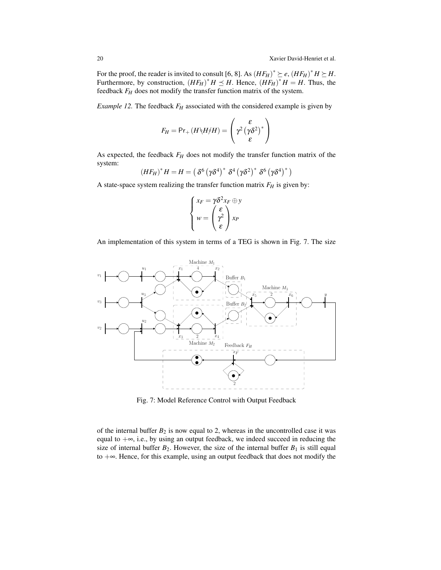For the proof, the reader is invited to consult [6, 8]. As  $(HF_H)^* \geq e$ ,  $(HF_H)^* H \geq H$ . Furthermore, by construction,  $(HF_H)^*H \preceq H$ . Hence,  $(HF_H)^*H = H$ . Thus, the feedback *F<sup>H</sup>* does not modify the transfer function matrix of the system.

*Example 12.* The feedback *F<sup>H</sup>* associated with the considered example is given by

$$
F_H = \mathsf{Pr}_+ (H \setminus H \neq H) = \left( \gamma^2 \left( \gamma \delta^2 \right)^* \right)
$$

As expected, the feedback *F<sup>H</sup>* does not modify the transfer function matrix of the system:

$$
\left(HF_{H}\right)^{*}H=H=\left(\,\delta^{6}\left(\gamma\delta^{4}\right)^{*}\,\delta^{4}\left(\gamma\delta^{2}\right)^{*}\,\delta^{6}\left(\gamma\delta^{4}\right)^{*}\right)
$$

A state-space system realizing the transfer function matrix  $F_H$  is given by:

$$
\begin{cases}\n x_F = \gamma \delta^2 x_F \oplus y \\
 w = \begin{pmatrix} \varepsilon \\
 \gamma^2 \\
 \varepsilon \end{pmatrix} x_P\n\end{cases}
$$

An implementation of this system in terms of a TEG is shown in Fig. 7. The size



Fig. 7: Model Reference Control with Output Feedback

of the internal buffer  $B_2$  is now equal to 2, whereas in the uncontrolled case it was equal to +∞, i.e., by using an output feedback, we indeed succeed in reducing the size of internal buffer  $B_2$ . However, the size of the internal buffer  $B_1$  is still equal to +∞. Hence, for this example, using an output feedback that does not modify the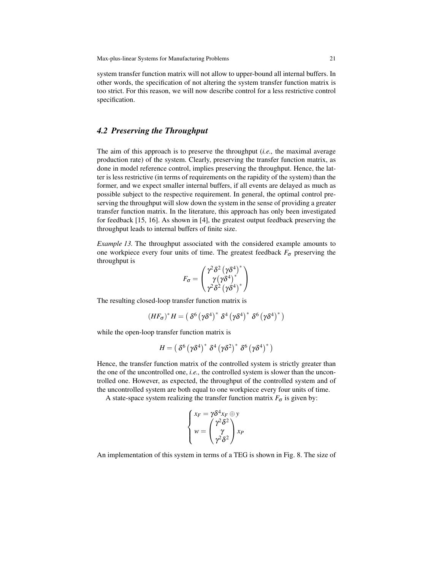system transfer function matrix will not allow to upper-bound all internal buffers. In other words, the specification of not altering the system transfer function matrix is too strict. For this reason, we will now describe control for a less restrictive control specification.

## *4.2 Preserving the Throughput*

The aim of this approach is to preserve the throughput (*i.e.,* the maximal average production rate) of the system. Clearly, preserving the transfer function matrix, as done in model reference control, implies preserving the throughput. Hence, the latter is less restrictive (in terms of requirements on the rapidity of the system) than the former, and we expect smaller internal buffers, if all events are delayed as much as possible subject to the respective requirement. In general, the optimal control preserving the throughput will slow down the system in the sense of providing a greater transfer function matrix. In the literature, this approach has only been investigated for feedback [15, 16]. As shown in [4], the greatest output feedback preserving the throughput leads to internal buffers of finite size.

*Example 13.* The throughput associated with the considered example amounts to one workpiece every four units of time. The greatest feedback  $F_{\sigma}$  preserving the throughput is

$$
F_{\sigma} = \begin{pmatrix} \gamma^2 \delta^2 (\gamma \delta^4)^* \\ \gamma (\gamma \delta^4)^* \\ \gamma^2 \delta^2 (\gamma \delta^4)^* \end{pmatrix}
$$

The resulting closed-loop transfer function matrix is

$$
\left(HF_{\sigma}\right)^{*}H=\left(\,\delta^{6}\left(\gamma\delta^{4}\right)^{*}\,\delta^{4}\left(\gamma\delta^{4}\right)^{*}\,\delta^{6}\left(\gamma\delta^{4}\right)^{*}\right)
$$

while the open-loop transfer function matrix is

$$
H=\left(\,\delta^6\left(\gamma\delta^4\right)^{*} \,\delta^4\left(\gamma\delta^2\right)^{*} \,\delta^6\left(\gamma\delta^4\right)^{*}\right)
$$

Hence, the transfer function matrix of the controlled system is strictly greater than the one of the uncontrolled one, *i.e.,* the controlled system is slower than the uncontrolled one. However, as expected, the throughput of the controlled system and of the uncontrolled system are both equal to one workpiece every four units of time.

A state-space system realizing the transfer function matrix  $F_{\sigma}$  is given by:

$$
\begin{cases}\nx_F = \gamma \delta^4 x_F \oplus y \\
w = \begin{pmatrix} \gamma^2 \delta^2 \\
\gamma \\
\gamma^2 \delta^2 \end{pmatrix} x_P\n\end{cases}
$$

An implementation of this system in terms of a TEG is shown in Fig. 8. The size of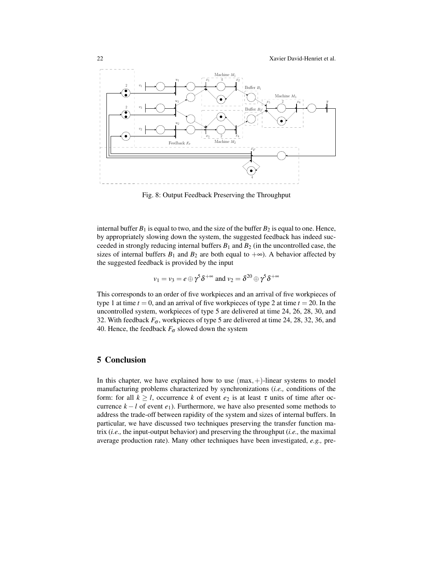

Fig. 8: Output Feedback Preserving the Throughput

internal buffer  $B_1$  is equal to two, and the size of the buffer  $B_2$  is equal to one. Hence, by appropriately slowing down the system, the suggested feedback has indeed succeeded in strongly reducing internal buffers  $B_1$  and  $B_2$  (in the uncontrolled case, the sizes of internal buffers  $B_1$  and  $B_2$  are both equal to  $+\infty$ ). A behavior affected by the suggested feedback is provided by the input

$$
v_1 = v_3 = e \oplus \gamma^5 \delta^{+\infty}
$$
 and  $v_2 = \delta^{20} \oplus \gamma^5 \delta^{+\infty}$ 

This corresponds to an order of five workpieces and an arrival of five workpieces of type 1 at time  $t = 0$ , and an arrival of five workpieces of type 2 at time  $t = 20$ . In the uncontrolled system, workpieces of type 5 are delivered at time 24, 26, 28, 30, and 32. With feedback  $F_{\sigma}$ , workpieces of type 5 are delivered at time 24, 28, 32, 36, and 40. Hence, the feedback  $F_{\sigma}$  slowed down the system

## 5 Conclusion

In this chapter, we have explained how to use  $(max,+)$ -linear systems to model manufacturing problems characterized by synchronizations (*i.e.,* conditions of the form: for all  $k \geq l$ , occurrence k of event  $e_2$  is at least  $\tau$  units of time after occurrence  $k - l$  of event  $e_1$ ). Furthermore, we have also presented some methods to address the trade-off between rapidity of the system and sizes of internal buffers. In particular, we have discussed two techniques preserving the transfer function matrix (*i.e.,* the input-output behavior) and preserving the throughput (*i.e.,* the maximal average production rate). Many other techniques have been investigated, *e.g.,* pre-